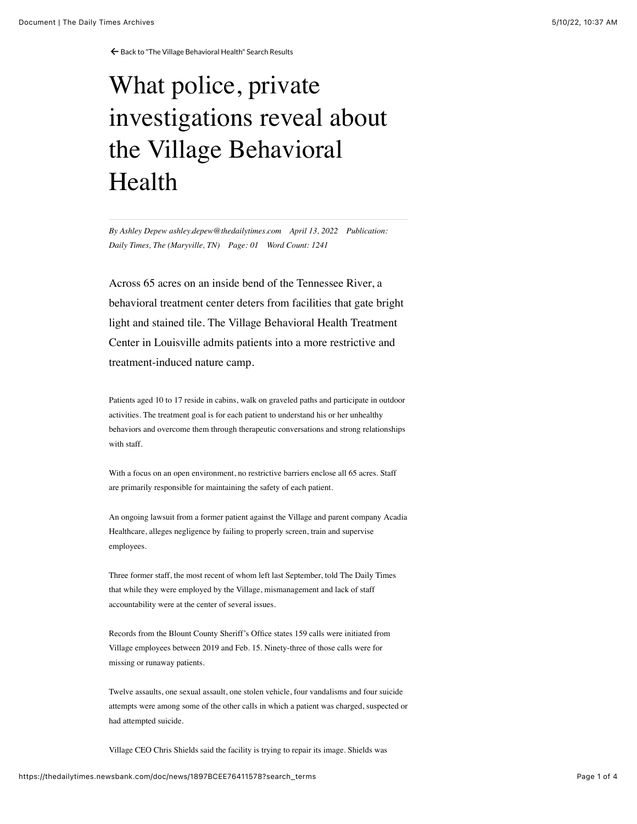← [Back to "The Village Behavioral Health" Search Results](https://thedailytimes.newsbank.com/search?text=the%20village%20behavioral%20health&pub%5B0%5D=MDTB)

## What police, private investigations reveal about the Village Behavioral Health

*By Ashley Depew ashley.depew@thedailytimes.com April 13, 2022 Publication: Daily Times, The (Maryville, TN) Page: 01 Word Count: 1241*

Across 65 acres on an inside bend of the Tennessee River, a behavioral treatment center deters from facilities that gate bright light and stained tile. The Village Behavioral Health Treatment Center in Louisville admits patients into a more restrictive and treatment-induced nature camp.

Patients aged 10 to 17 reside in cabins, walk on graveled paths and participate in outdoor activities. The treatment goal is for each patient to understand his or her unhealthy behaviors and overcome them through therapeutic conversations and strong relationships with staff.

With a focus on an open environment, no restrictive barriers enclose all 65 acres. Staff are primarily responsible for maintaining the safety of each patient.

An ongoing lawsuit from a former patient against the Village and parent company Acadia Healthcare, alleges negligence by failing to properly screen, train and supervise employees.

Three former staff, the most recent of whom left last September, told The Daily Times that while they were employed by the Village, mismanagement and lack of staff accountability were at the center of several issues.

Records from the Blount County Sheriff's Office states 159 calls were initiated from Village employees between 2019 and Feb. 15. Ninety-three of those calls were for missing or runaway patients.

Twelve assaults, one sexual assault, one stolen vehicle, four vandalisms and four suicide attempts were among some of the other calls in which a patient was charged, suspected or had attempted suicide.

Village CEO Chris Shields said the facility is trying to repair its image. Shields was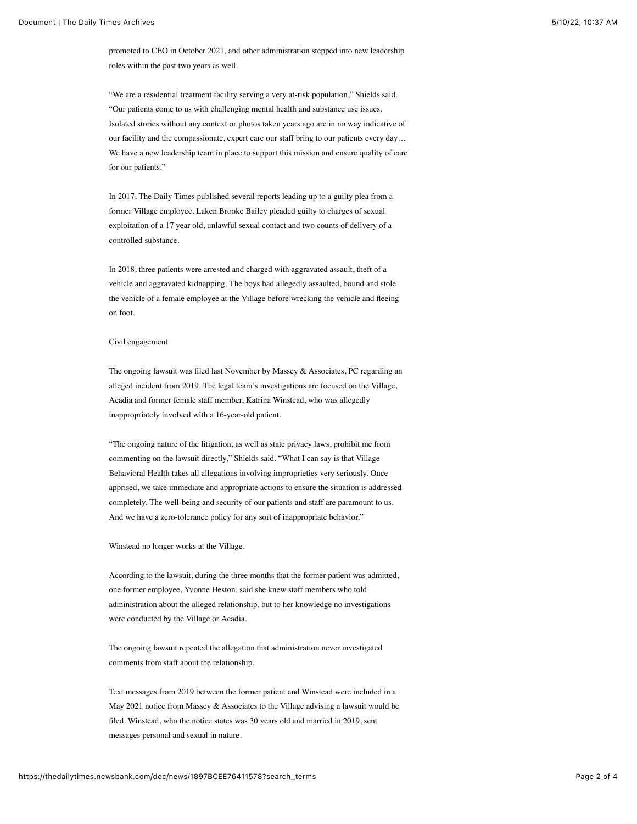promoted to CEO in October 2021, and other administration stepped into new leadership roles within the past two years as well.

"We are a residential treatment facility serving a very at-risk population," Shields said. "Our patients come to us with challenging mental health and substance use issues. Isolated stories without any context or photos taken years ago are in no way indicative of our facility and the compassionate, expert care our staff bring to our patients every day… We have a new leadership team in place to support this mission and ensure quality of care for our patients."

In 2017, The Daily Times published several reports leading up to a guilty plea from a former Village employee. Laken Brooke Bailey pleaded guilty to charges of sexual exploitation of a 17 year old, unlawful sexual contact and two counts of delivery of a controlled substance.

In 2018, three patients were arrested and charged with aggravated assault, theft of a vehicle and aggravated kidnapping. The boys had allegedly assaulted, bound and stole the vehicle of a female employee at the Village before wrecking the vehicle and fleeing on foot.

## Civil engagement

The ongoing lawsuit was filed last November by Massey & Associates, PC regarding an alleged incident from 2019. The legal team's investigations are focused on the Village, Acadia and former female staff member, Katrina Winstead, who was allegedly inappropriately involved with a 16-year-old patient.

"The ongoing nature of the litigation, as well as state privacy laws, prohibit me from commenting on the lawsuit directly," Shields said. "What I can say is that Village Behavioral Health takes all allegations involving improprieties very seriously. Once apprised, we take immediate and appropriate actions to ensure the situation is addressed completely. The well-being and security of our patients and staff are paramount to us. And we have a zero-tolerance policy for any sort of inappropriate behavior."

Winstead no longer works at the Village.

According to the lawsuit, during the three months that the former patient was admitted, one former employee, Yvonne Heston, said she knew staff members who told administration about the alleged relationship, but to her knowledge no investigations were conducted by the Village or Acadia.

The ongoing lawsuit repeated the allegation that administration never investigated comments from staff about the relationship.

Text messages from 2019 between the former patient and Winstead were included in a May 2021 notice from Massey & Associates to the Village advising a lawsuit would be filed. Winstead, who the notice states was 30 years old and married in 2019, sent messages personal and sexual in nature.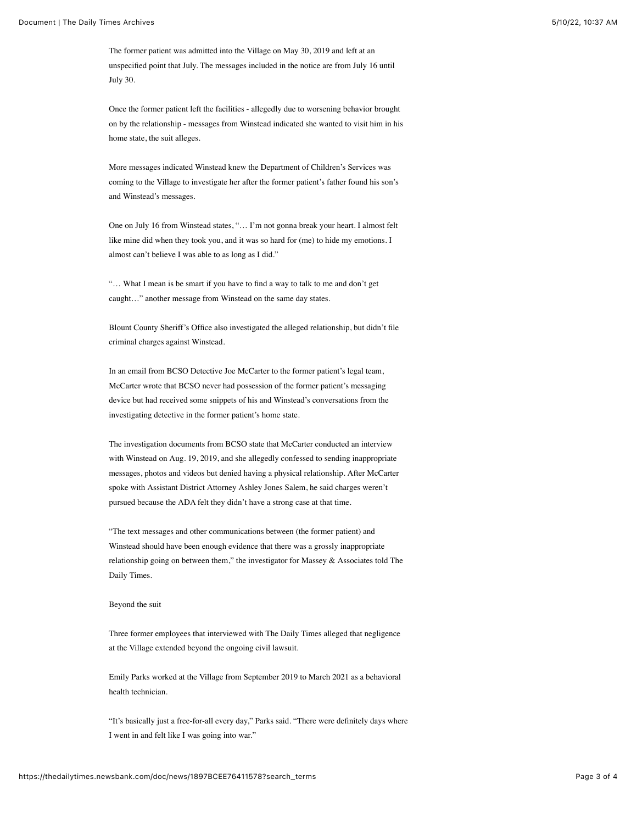The former patient was admitted into the Village on May 30, 2019 and left at an unspecified point that July. The messages included in the notice are from July 16 until July 30.

Once the former patient left the facilities - allegedly due to worsening behavior brought on by the relationship - messages from Winstead indicated she wanted to visit him in his home state, the suit alleges.

More messages indicated Winstead knew the Department of Children's Services was coming to the Village to investigate her after the former patient's father found his son's and Winstead's messages.

One on July 16 from Winstead states, "… I'm not gonna break your heart. I almost felt like mine did when they took you, and it was so hard for (me) to hide my emotions. I almost can't believe I was able to as long as I did."

"… What I mean is be smart if you have to find a way to talk to me and don't get caught…" another message from Winstead on the same day states.

Blount County Sheriff's Office also investigated the alleged relationship, but didn't file criminal charges against Winstead.

In an email from BCSO Detective Joe McCarter to the former patient's legal team, McCarter wrote that BCSO never had possession of the former patient's messaging device but had received some snippets of his and Winstead's conversations from the investigating detective in the former patient's home state.

The investigation documents from BCSO state that McCarter conducted an interview with Winstead on Aug. 19, 2019, and she allegedly confessed to sending inappropriate messages, photos and videos but denied having a physical relationship. After McCarter spoke with Assistant District Attorney Ashley Jones Salem, he said charges weren't pursued because the ADA felt they didn't have a strong case at that time.

"The text messages and other communications between (the former patient) and Winstead should have been enough evidence that there was a grossly inappropriate relationship going on between them," the investigator for Massey & Associates told The Daily Times.

## Beyond the suit

Three former employees that interviewed with The Daily Times alleged that negligence at the Village extended beyond the ongoing civil lawsuit.

Emily Parks worked at the Village from September 2019 to March 2021 as a behavioral health technician.

"It's basically just a free-for-all every day," Parks said. "There were definitely days where I went in and felt like I was going into war."